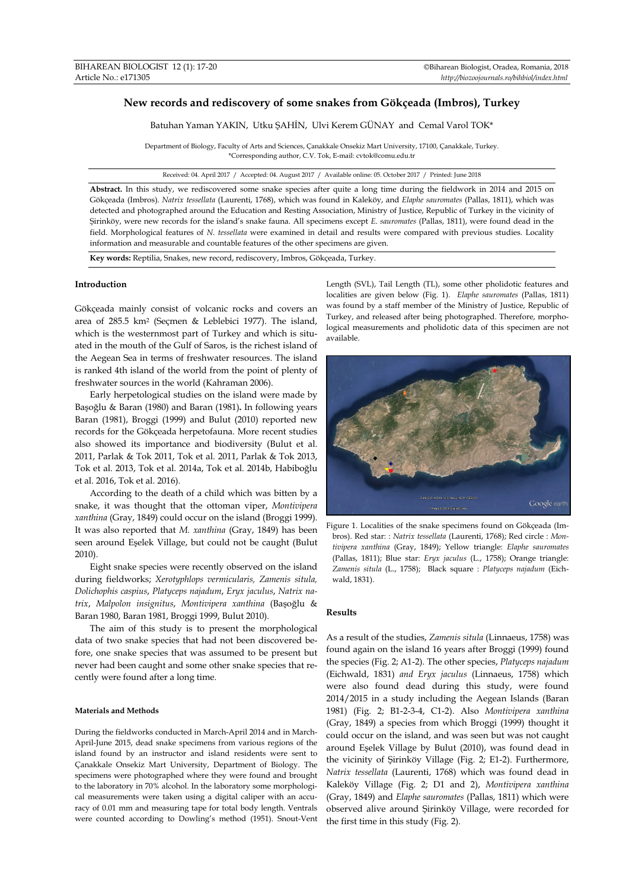# **New records and rediscovery of some snakes from Gökçeada (Imbros), Turkey**

Batuhan Yaman YAKIN, Utku ŞAHİN, Ulvi Kerem GÜNAY and Cemal Varol TOK\*

Department of Biology, Faculty of Arts and Sciences, Çanakkale Onsekiz Mart University, 17100, Çanakkale, Turkey. \*Corresponding author, C.V. Tok, E-mail: cvtok@comu.edu.tr

Received: 04. April 2017 / Accepted: 04. August 2017 / Available online: 05. October 2017 / Printed: June 2018

**Abstract.** In this study, we rediscovered some snake species after quite a long time during the fieldwork in 2014 and 2015 on Gökçeada (Imbros). *Natrix tessellata* (Laurenti, 1768), which was found in Kaleköy, and *Elaphe sauromates* (Pallas, 1811), which was detected and photographed around the Education and Resting Association, Ministry of Justice, Republic of Turkey in the vicinity of Şirinköy, were new records for the island's snake fauna. All specimens except *E*. *sauromates* (Pallas, 1811), were found dead in the field. Morphological features of *N*. *tessellata* were examined in detail and results were compared with previous studies. Locality information and measurable and countable features of the other specimens are given.

**Key words:** Reptilia, Snakes, new record, rediscovery, Imbros, Gökçeada, Turkey.

## **Introduction**

Gökçeada mainly consist of volcanic rocks and covers an area of 285.5 km2 (Seçmen & Leblebici 1977). The island, which is the westernmost part of Turkey and which is situated in the mouth of the Gulf of Saros, is the richest island of the Aegean Sea in terms of freshwater resources. The island is ranked 4th island of the world from the point of plenty of freshwater sources in the world (Kahraman 2006).

Early herpetological studies on the island were made by Başoğlu & Baran (1980) and Baran (1981)**.** In following years Baran (1981), Broggi (1999) and Bulut (2010) reported new records for the Gökçeada herpetofauna. More recent studies also showed its importance and biodiversity (Bulut et al. 2011, Parlak & Tok 2011, Tok et al. 2011, Parlak & Tok 2013, Tok et al. 2013, Tok et al. 2014a, Tok et al. 2014b, Habiboğlu et al. 2016, Tok et al. 2016).

According to the death of a child which was bitten by a snake, it was thought that the ottoman viper, *Montivipera xanthina* (Gray, 1849) could occur on the island (Broggi 1999). It was also reported that *M*. *xanthina* (Gray, 1849) has been seen around Eşelek Village, but could not be caught (Bulut 2010).

Eight snake species were recently observed on the island during fieldworks; *Xerotyphlops vermicularis, Zamenis situla, Dolichophis caspius*, *Platyceps najadum*, *Eryx jaculus*, *Natrix natrix*, *Malpolon insignitus*, *Montivipera xanthina* (Başoğlu & Baran 1980, Baran 1981, Broggi 1999, Bulut 2010).

The aim of this study is to present the morphological data of two snake species that had not been discovered before, one snake species that was assumed to be present but never had been caught and some other snake species that recently were found after a long time.

### **Materials and Methods**

During the fieldworks conducted in March-April 2014 and in March-April-June 2015, dead snake specimens from various regions of the island found by an instructor and island residents were sent to Çanakkale Onsekiz Mart University, Department of Biology. The specimens were photographed where they were found and brought to the laboratory in 70% alcohol. In the laboratory some morphological measurements were taken using a digital caliper with an accuracy of 0.01 mm and measuring tape for total body length. Ventrals were counted according to Dowling's method (1951). Snout-Vent

Length (SVL), Tail Length (TL), some other pholidotic features and localities are given below (Fig. 1). *Elaphe sauromates* (Pallas, 1811) was found by a staff member of the Ministry of Justice, Republic of Turkey, and released after being photographed. Therefore, morphological measurements and pholidotic data of this specimen are not available.



Figure 1. Localities of the snake specimens found on Gökçeada (Imbros). Red star: : *Natrix tessellata* (Laurenti, 1768); Red circle : *Montivipera xanthina* (Gray, 1849); Yellow triangle: *Elaphe sauromates*  (Pallas, 1811); Blue star: *Eryx jaculus* (L., 1758); Orange triangle: *Zamenis situla* (L., 1758); Black square : *Platyceps najadum* (Eichwald, 1831).

### **Results**

As a result of the studies, *Zamenis situla* (Linnaeus, 1758) was found again on the island 16 years after Broggi (1999) found the species (Fig. 2; A1-2). The other species, *Platyceps najadum* (Eichwald, 1831) *and Eryx jaculus* (Linnaeus, 1758) which were also found dead during this study, were found 2014/2015 in a study including the Aegean Islands (Baran 1981) (Fig. 2; B1-2-3-4, C1-2). Also *Montivipera xanthina*  (Gray, 1849) a species from which Broggi (1999) thought it could occur on the island, and was seen but was not caught around Eşelek Village by Bulut (2010), was found dead in the vicinity of Şirinköy Village (Fig. 2; E1-2). Furthermore, *Natrix tessellata* (Laurenti, 1768) which was found dead in Kaleköy Village (Fig. 2; D1 and 2), *Montivipera xanthina*  (Gray, 1849) and *Elaphe sauromates* (Pallas, 1811) which were observed alive around Şirinköy Village, were recorded for the first time in this study (Fig. 2).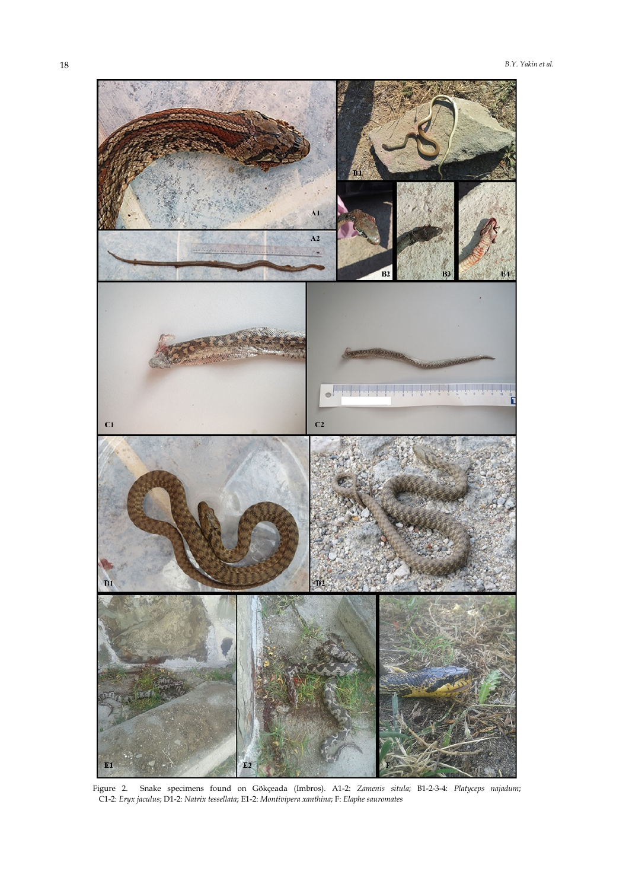

Figure 2. Snake specimens found on Gökçeada (Imbros). A1-2: *Zamenis situla*; B1-2-3-4: *Platyceps najadum*; C1-2: *Eryx jaculus*; D1-2: *Natrix tessellata*; E1-2: *Montivipera xanthina*; F: *Elaphe sauromates*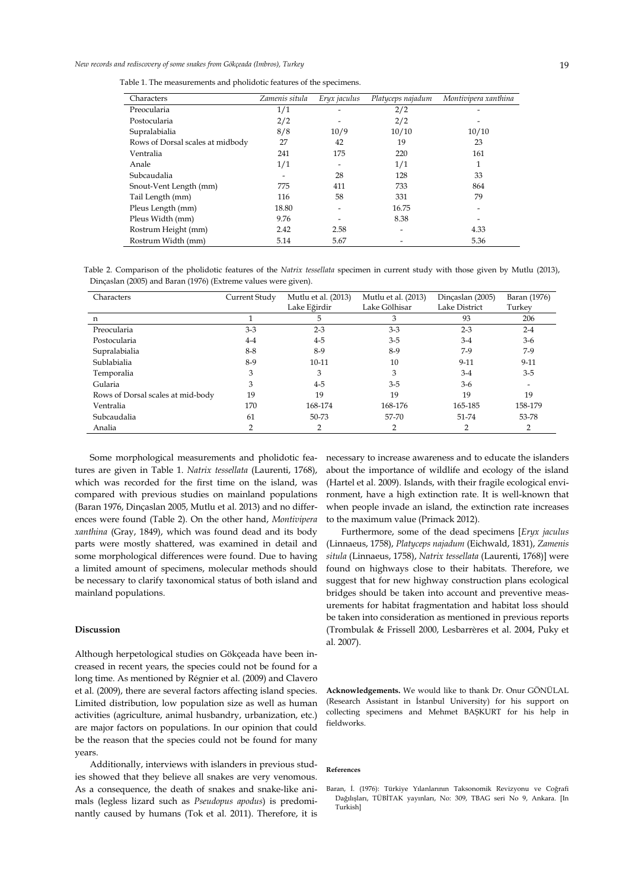Table 1. The measurements and pholidotic features of the specimens.

| Characters                       | Zamenis situla | Eryx jaculus | Platyceps najadum | Montivipera xanthina |  |
|----------------------------------|----------------|--------------|-------------------|----------------------|--|
| Preocularia                      | 1/1            |              | 2/2               |                      |  |
| Postocularia                     | 2/2            |              | 2/2               |                      |  |
| Supralabialia                    | 8/8            | 10/9         | 10/10             | 10/10                |  |
| Rows of Dorsal scales at midbody | 27             | 42           | 19                | 23                   |  |
| Ventralia                        | 241            | 175          | 220               | 161                  |  |
| Anale                            | 1/1            |              | 1/1               |                      |  |
| Subcaudalia                      |                | 28           | 128               | 33                   |  |
| Snout-Vent Length (mm)           | 775            | 411          | 733               | 864                  |  |
| Tail Length (mm)                 | 116            | 58           | 331               | 79                   |  |
| Pleus Length (mm)                | 18.80          |              | 16.75             |                      |  |
| Pleus Width (mm)                 | 9.76           |              | 8.38              |                      |  |
| Rostrum Height (mm)              | 2.42           | 2.58         |                   | 4.33                 |  |
| Rostrum Width (mm)               | 5.14           | 5.67         |                   | 5.36                 |  |

Table 2. Comparison of the pholidotic features of the *Natrix tessellata* specimen in current study with those given by Mutlu (2013), Dinçaslan (2005) and Baran (1976) (Extreme values were given).

| Characters                        | Current Study | Mutlu et al. (2013) | Mutlu et al. (2013) | Dinçaslan (2005) | Baran (1976) |
|-----------------------------------|---------------|---------------------|---------------------|------------------|--------------|
|                                   |               | Lake Eğirdir        | Lake Gölhisar       | Lake District    | Turkey       |
| $\mathbf n$                       |               | 5                   | 3                   | 93               | 206          |
| Preocularia                       | $3-3$         | $2 - 3$             | $3-3$               | $2 - 3$          | $2 - 4$      |
| Postocularia                      | $4 - 4$       | $4 - 5$             | $3 - 5$             | $3-4$            | $3-6$        |
| Supralabialia                     | $8 - 8$       | 8-9                 | 8-9                 | $7-9$            | $7-9$        |
| Sublabialia                       | $8-9$         | $10 - 11$           | 10                  | $9 - 11$         | $9-11$       |
| Temporalia                        | 3             | 3                   | 3                   | $3-4$            | $3 - 5$      |
| Gularia                           | 3             | $4 - 5$             | $3-5$               | $3-6$            |              |
| Rows of Dorsal scales at mid-body | 19            | 19                  | 19                  | 19               | 19           |
| Ventralia                         | 170           | 168-174             | 168-176             | 165-185          | 158-179      |
| Subcaudalia                       | 61            | 50-73               | 57-70               | 51-74            | 53-78        |
| Analia                            |               |                     |                     |                  |              |

Some morphological measurements and pholidotic features are given in Table 1. *Natrix tessellata* (Laurenti, 1768), which was recorded for the first time on the island, was compared with previous studies on mainland populations (Baran 1976, Dinçaslan 2005, Mutlu et al. 2013) and no differences were found (Table 2). On the other hand, *Montivipera xanthina* (Gray, 1849), which was found dead and its body parts were mostly shattered, was examined in detail and some morphological differences were found. Due to having a limited amount of specimens, molecular methods should be necessary to clarify taxonomical status of both island and mainland populations.

## **Discussion**

Although herpetological studies on Gökçeada have been increased in recent years, the species could not be found for a long time. As mentioned by Régnier et al. (2009) and Clavero et al. (2009), there are several factors affecting island species. Limited distribution, low population size as well as human activities (agriculture, animal husbandry, urbanization, etc.) are major factors on populations. In our opinion that could be the reason that the species could not be found for many years.

Additionally, interviews with islanders in previous studies showed that they believe all snakes are very venomous. As a consequence, the death of snakes and snake-like animals (legless lizard such as *Pseudopus apodus*) is predominantly caused by humans (Tok et al. 2011). Therefore, it is necessary to increase awareness and to educate the islanders about the importance of wildlife and ecology of the island (Hartel et al. 2009). Islands, with their fragile ecological environment, have a high extinction rate. It is well-known that when people invade an island, the extinction rate increases to the maximum value (Primack 2012).

Furthermore, some of the dead specimens [*Eryx jaculus*  (Linnaeus, 1758), *Platyceps najadum* (Eichwald, 1831), *Zamenis situla* (Linnaeus, 1758), *Natrix tessellata* (Laurenti, 1768)] were found on highways close to their habitats. Therefore, we suggest that for new highway construction plans ecological bridges should be taken into account and preventive measurements for habitat fragmentation and habitat loss should be taken into consideration as mentioned in previous reports (Trombulak & Frissell 2000, Lesbarrères et al. 2004, Puky et al. 2007).

**Acknowledgements.** We would like to thank Dr. Onur GÖNÜLAL (Research Assistant in İstanbul University) for his support on collecting specimens and Mehmet BAŞKURT for his help in fieldworks.

#### **References**

Baran, İ. (1976): Türkiye Yılanlarının Taksonomik Revizyonu ve Coğrafi Dağılışları, TÜBİTAK yayınları, No: 309, TBAG seri No 9, Ankara. [In Turkish]